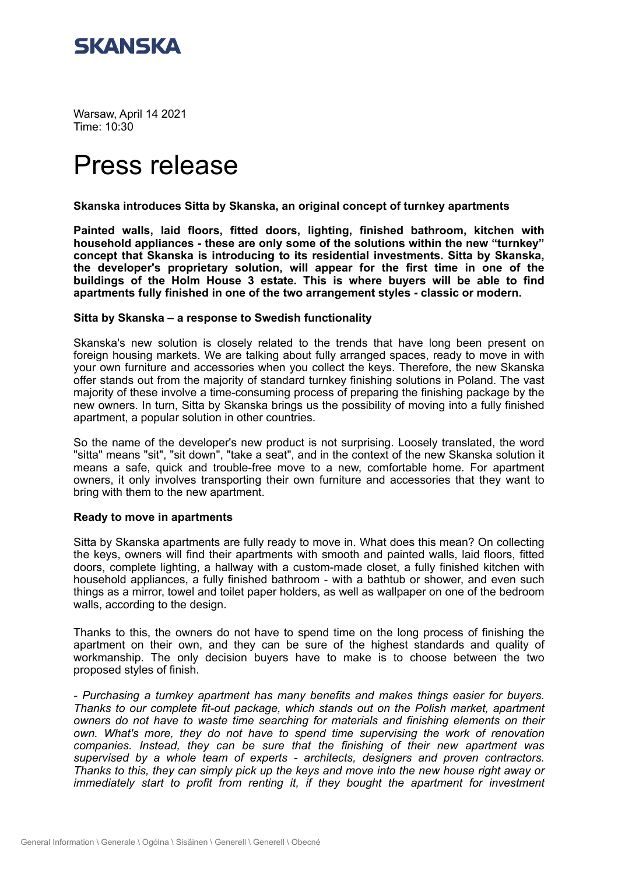

Warsaw, April 14 2021 Time: 10:30

# Press release

### **Skanska introduces Sitta by Skanska, an original concept of turnkey apartments**

**Painted walls, laid floors, fitted doors, lighting, finished bathroom, kitchen with household appliances - these are only some of the solutions within the new "turnkey" concept that Skanska is introducing to its residential investments. Sitta by Skanska, the developer's proprietary solution, will appear for the first time in one of the buildings of the Holm House 3 estate. This is where buyers will be able to find apartments fully finished in one of the two arrangement styles - classic or modern.**

### **Sitta by Skanska – a response to Swedish functionality**

Skanska's new solution is closely related to the trends that have long been present on foreign housing markets. We are talking about fully arranged spaces, ready to move in with your own furniture and accessories when you collect the keys. Therefore, the new Skanska offer stands out from the majority of standard turnkey finishing solutions in Poland. The vast majority of these involve a time-consuming process of preparing the finishing package by the new owners. In turn, Sitta by Skanska brings us the possibility of moving into a fully finished apartment, a popular solution in other countries.

So the name of the developer's new product is not surprising. Loosely translated, the word "sitta" means "sit", "sit down", "take a seat", and in the context of the new Skanska solution it means a safe, quick and trouble-free move to a new, comfortable home. For apartment owners, it only involves transporting their own furniture and accessories that they want to bring with them to the new apartment.

### **Ready to move in apartments**

Sitta by Skanska apartments are fully ready to move in. What does this mean? On collecting the keys, owners will find their apartments with smooth and painted walls, laid floors, fitted doors, complete lighting, a hallway with a custom-made closet, a fully finished kitchen with household appliances, a fully finished bathroom - with a bathtub or shower, and even such things as a mirror, towel and toilet paper holders, as well as wallpaper on one of the bedroom walls, according to the design.

Thanks to this, the owners do not have to spend time on the long process of finishing the apartment on their own, and they can be sure of the highest standards and quality of workmanship. The only decision buyers have to make is to choose between the two proposed styles of finish.

*- Purchasing a turnkey apartment has many benefits and makes things easier for buyers. Thanks to our complete fit-out package, which stands out on the Polish market, apartment owners do not have to waste time searching for materials and finishing elements on their own. What's more, they do not have to spend time supervising the work of renovation companies. Instead, they can be sure that the finishing of their new apartment was supervised by a whole team of experts - architects, designers and proven contractors. Thanks to this, they can simply pick up the keys and move into the new house right away or immediately start to profit from renting it, if they bought the apartment for investment*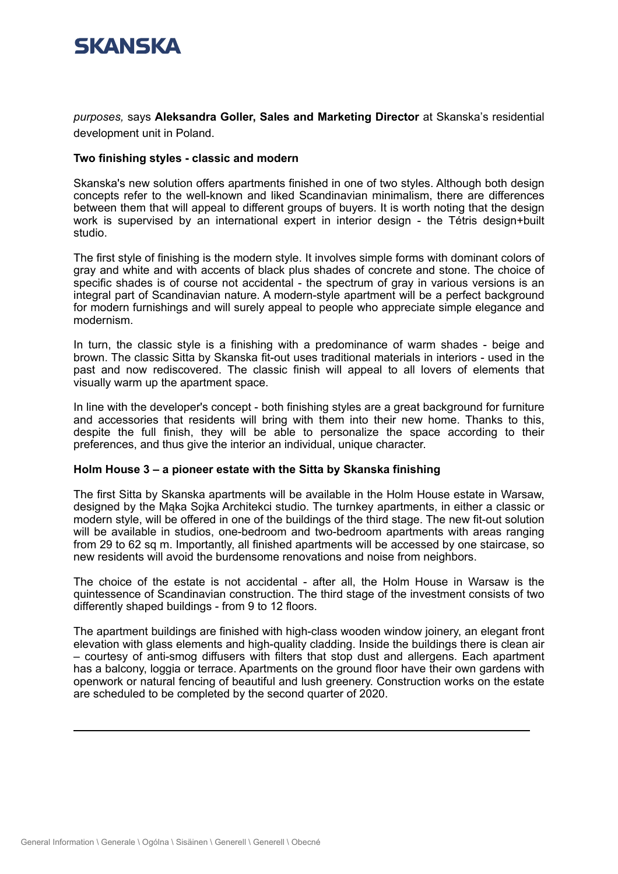

*purposes, says Aleksandra Goller, Sales and Marketing Director at Skanska's residential* development unit in Poland.

### **Two finishing styles - classic and modern**

Skanska's new solution offers apartments finished in one of two styles. Although both design concepts refer to the well-known and liked Scandinavian minimalism, there are differences between them that will appeal to different groups of buyers. It is worth noting that the design work is supervised by an international expert in interior design - the Tétris design+built studio.

The first style of finishing is the modern style. It involves simple forms with dominant colors of gray and white and with accents of black plus shades of concrete and stone. The choice of specific shades is of course not accidental - the spectrum of gray in various versions is an integral part of Scandinavian nature. A modern-style apartment will be a perfect background for modern furnishings and will surely appeal to people who appreciate simple elegance and modernism.

In turn, the classic style is a finishing with a predominance of warm shades - beige and brown. The classic Sitta by Skanska fit-out uses traditional materials in interiors - used in the past and now rediscovered. The classic finish will appeal to all lovers of elements that visually warm up the apartment space.

In line with the developer's concept - both finishing styles are a great background for furniture and accessories that residents will bring with them into their new home. Thanks to this, despite the full finish, they will be able to personalize the space according to their preferences, and thus give the interior an individual, unique character.

### **Holm House 3 – a pioneer estate with the Sitta by Skanska finishing**

The first Sitta by Skanska apartments will be available in the Holm House estate in Warsaw, designed by the Mąka Sojka Architekci studio. The turnkey apartments, in either a classic or modern style, will be offered in one of the buildings of the third stage. The new fit-out solution will be available in studios, one-bedroom and two-bedroom apartments with areas ranging from 29 to 62 sq m. Importantly, all finished apartments will be accessed by one staircase, so new residents will avoid the burdensome renovations and noise from neighbors.

The choice of the estate is not accidental - after all, the Holm House in Warsaw is the quintessence of Scandinavian construction. The third stage of the investment consists of two differently shaped buildings - from 9 to 12 floors.

The apartment buildings are finished with high-class wooden window joinery, an elegant front elevation with glass elements and high-quality cladding. Inside the buildings there is clean air – courtesy of anti-smog diffusers with filters that stop dust and allergens. Each apartment has a balcony, loggia or terrace. Apartments on the ground floor have their own gardens with openwork or natural fencing of beautiful and lush greenery. Construction works on the estate are scheduled to be completed by the second quarter of 2020.